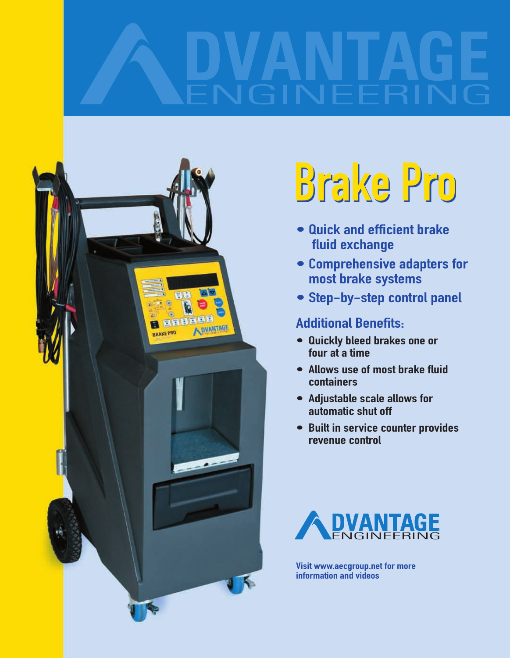

# Brake Pro Brake Pro

- Quick and efficient brake fluid exchange
- Comprehensive adapters for most brake systems
- Step-by-step control panel

## Additional Benefits:

- Quickly bleed brakes one or four at a time
- Allows use of most brake fluid containers
- Adjustable scale allows for automatic shut off
- Built in service counter provides revenue control



Visit www.aecgroup.net for more information and videos